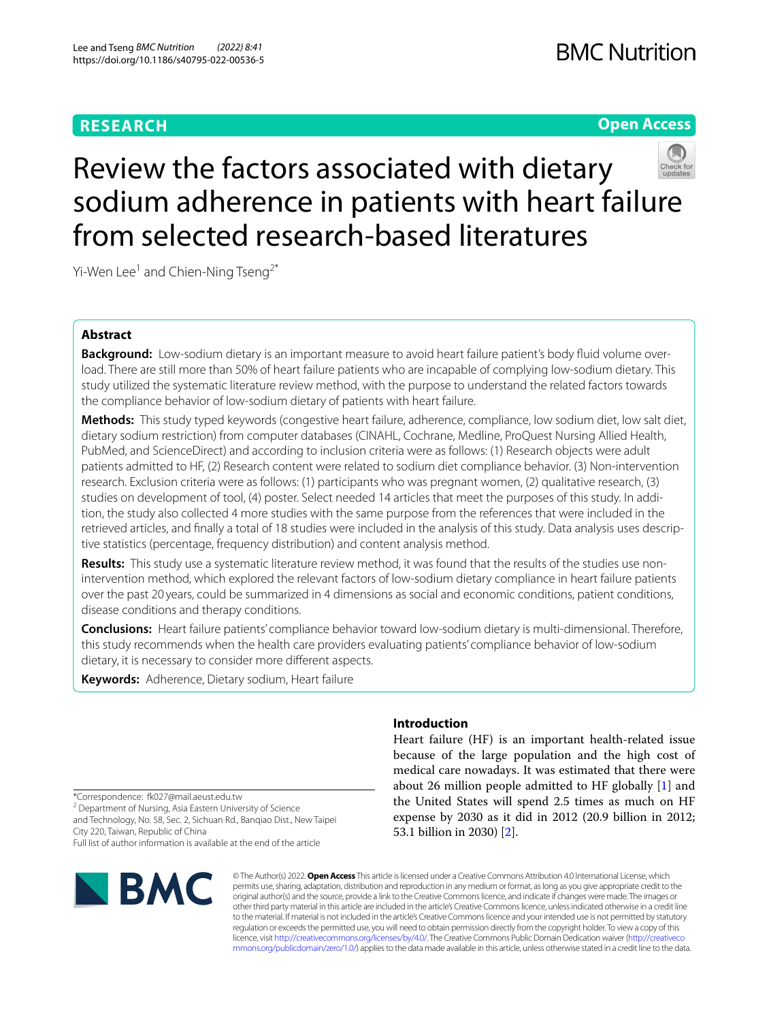## **RESEARCH**

### **Open Access**



# Review the factors associated with dietary sodium adherence in patients with heart failure from selected research-based literatures

Yi-Wen Lee<sup>1</sup> and Chien-Ning Tseng<sup>2\*</sup>

### **Abstract**

**Background:** Low-sodium dietary is an important measure to avoid heart failure patient's body fluid volume overload. There are still more than 50% of heart failure patients who are incapable of complying low-sodium dietary. This study utilized the systematic literature review method, with the purpose to understand the related factors towards the compliance behavior of low-sodium dietary of patients with heart failure.

**Methods:** This study typed keywords (congestive heart failure, adherence, compliance, low sodium diet, low salt diet, dietary sodium restriction) from computer databases (CINAHL, Cochrane, Medline, ProQuest Nursing Allied Health, PubMed, and ScienceDirect) and according to inclusion criteria were as follows: (1) Research objects were adult patients admitted to HF, (2) Research content were related to sodium diet compliance behavior. (3) Non-intervention research. Exclusion criteria were as follows: (1) participants who was pregnant women, (2) qualitative research, (3) studies on development of tool, (4) poster. Select needed 14 articles that meet the purposes of this study. In addition, the study also collected 4 more studies with the same purpose from the references that were included in the retrieved articles, and finally a total of 18 studies were included in the analysis of this study. Data analysis uses descriptive statistics (percentage, frequency distribution) and content analysis method.

Results: This study use a systematic literature review method, it was found that the results of the studies use nonintervention method, which explored the relevant factors of low-sodium dietary compliance in heart failure patients over the past 20 years, could be summarized in 4 dimensions as social and economic conditions, patient conditions, disease conditions and therapy conditions.

**Conclusions:** Heart failure patients' compliance behavior toward low-sodium dietary is multi-dimensional. Therefore, this study recommends when the health care providers evaluating patients' compliance behavior of low-sodium dietary, it is necessary to consider more diferent aspects.

**Keywords:** Adherence, Dietary sodium, Heart failure

# **Introduction**

Heart failure (HF) is an important health-related issue because of the large population and the high cost of medical care nowadays. It was estimated that there were about 26 million people admitted to HF globally [\[1](#page-6-0)] and the United States will spend 2.5 times as much on HF expense by 2030 as it did in 2012 (20.9 billion in 2012; 53.1 billion in 2030) [\[2](#page-6-1)].

\*Correspondence: fk027@mail.aeust.edu.tw

<sup>2</sup> Department of Nursing, Asia Eastern University of Science and Technology, No. 58, Sec. 2, Sichuan Rd., Banqiao Dist., New Taipei City 220, Taiwan, Republic of China

Full list of author information is available at the end of the article



© The Author(s) 2022. **Open Access** This article is licensed under a Creative Commons Attribution 4.0 International License, which permits use, sharing, adaptation, distribution and reproduction in any medium or format, as long as you give appropriate credit to the original author(s) and the source, provide a link to the Creative Commons licence, and indicate if changes were made. The images or other third party material in this article are included in the article's Creative Commons licence, unless indicated otherwise in a credit line to the material. If material is not included in the article's Creative Commons licence and your intended use is not permitted by statutory regulation or exceeds the permitted use, you will need to obtain permission directly from the copyright holder. To view a copy of this licence, visit [http://creativecommons.org/licenses/by/4.0/.](http://creativecommons.org/licenses/by/4.0/) The Creative Commons Public Domain Dedication waiver ([http://creativeco](http://creativecommons.org/publicdomain/zero/1.0/) [mmons.org/publicdomain/zero/1.0/](http://creativecommons.org/publicdomain/zero/1.0/)) applies to the data made available in this article, unless otherwise stated in a credit line to the data.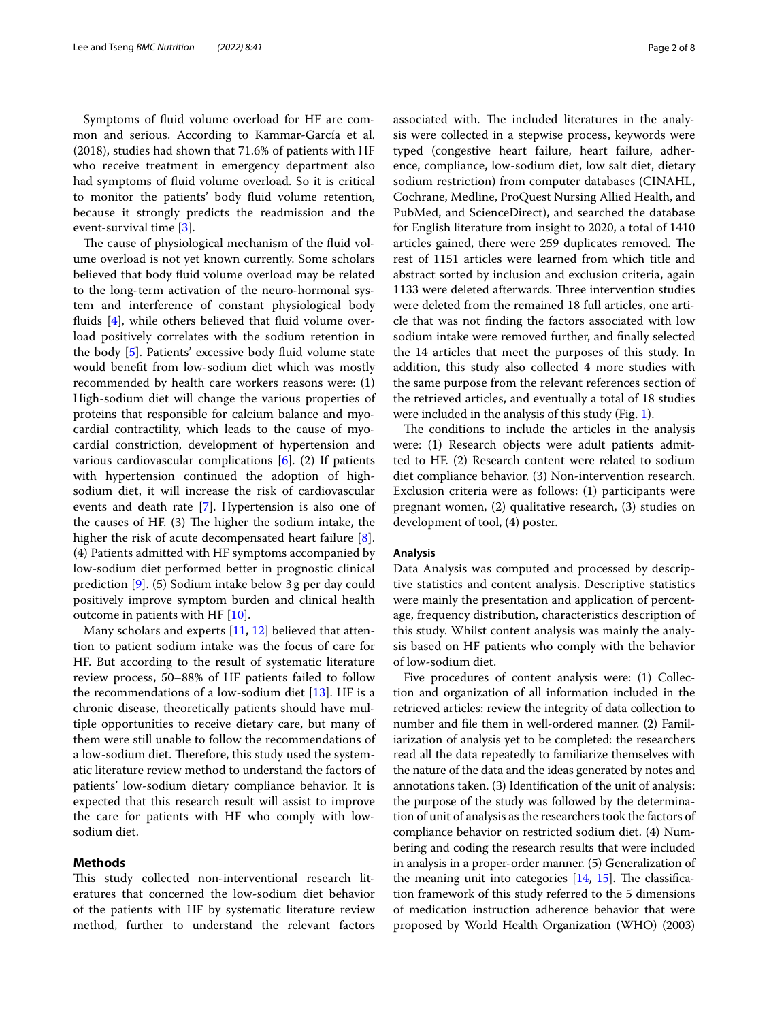Symptoms of fuid volume overload for HF are common and serious. According to Kammar-García et al. (2018), studies had shown that 71.6% of patients with HF who receive treatment in emergency department also had symptoms of fuid volume overload. So it is critical to monitor the patients' body fuid volume retention, because it strongly predicts the readmission and the event-survival time [[3\]](#page-6-2).

The cause of physiological mechanism of the fluid volume overload is not yet known currently. Some scholars believed that body fuid volume overload may be related to the long-term activation of the neuro-hormonal system and interference of constant physiological body fluids  $[4]$  $[4]$ , while others believed that fluid volume overload positively correlates with the sodium retention in the body [[5\]](#page-6-4). Patients' excessive body fuid volume state would beneft from low-sodium diet which was mostly recommended by health care workers reasons were: (1) High-sodium diet will change the various properties of proteins that responsible for calcium balance and myocardial contractility, which leads to the cause of myocardial constriction, development of hypertension and various cardiovascular complications  $[6]$  $[6]$ . (2) If patients with hypertension continued the adoption of highsodium diet, it will increase the risk of cardiovascular events and death rate [\[7\]](#page-6-6). Hypertension is also one of the causes of HF.  $(3)$  The higher the sodium intake, the higher the risk of acute decompensated heart failure [\[8](#page-6-7)]. (4) Patients admitted with HF symptoms accompanied by low-sodium diet performed better in prognostic clinical prediction [\[9\]](#page-6-8). (5) Sodium intake below 3g per day could positively improve symptom burden and clinical health outcome in patients with HF [[10\]](#page-6-9).

Many scholars and experts [\[11](#page-6-10), [12](#page-6-11)] believed that attention to patient sodium intake was the focus of care for HF. But according to the result of systematic literature review process, 50–88% of HF patients failed to follow the recommendations of a low-sodium diet [\[13](#page-6-12)]. HF is a chronic disease, theoretically patients should have multiple opportunities to receive dietary care, but many of them were still unable to follow the recommendations of a low-sodium diet. Therefore, this study used the systematic literature review method to understand the factors of patients' low-sodium dietary compliance behavior. It is expected that this research result will assist to improve the care for patients with HF who comply with lowsodium diet.

#### **Methods**

This study collected non-interventional research literatures that concerned the low-sodium diet behavior of the patients with HF by systematic literature review method, further to understand the relevant factors associated with. The included literatures in the analysis were collected in a stepwise process, keywords were typed (congestive heart failure, heart failure, adherence, compliance, low-sodium diet, low salt diet, dietary sodium restriction) from computer databases (CINAHL, Cochrane, Medline, ProQuest Nursing Allied Health, and PubMed, and ScienceDirect), and searched the database for English literature from insight to 2020, a total of 1410 articles gained, there were 259 duplicates removed. The rest of 1151 articles were learned from which title and abstract sorted by inclusion and exclusion criteria, again 1133 were deleted afterwards. Three intervention studies were deleted from the remained 18 full articles, one article that was not fnding the factors associated with low sodium intake were removed further, and fnally selected the 14 articles that meet the purposes of this study. In addition, this study also collected 4 more studies with the same purpose from the relevant references section of the retrieved articles, and eventually a total of 18 studies were included in the analysis of this study (Fig. [1\)](#page-2-0).

The conditions to include the articles in the analysis were: (1) Research objects were adult patients admitted to HF. (2) Research content were related to sodium diet compliance behavior. (3) Non-intervention research. Exclusion criteria were as follows: (1) participants were pregnant women, (2) qualitative research, (3) studies on development of tool, (4) poster.

#### **Analysis**

Data Analysis was computed and processed by descriptive statistics and content analysis. Descriptive statistics were mainly the presentation and application of percentage, frequency distribution, characteristics description of this study. Whilst content analysis was mainly the analysis based on HF patients who comply with the behavior of low-sodium diet.

Five procedures of content analysis were: (1) Collection and organization of all information included in the retrieved articles: review the integrity of data collection to number and fle them in well-ordered manner. (2) Familiarization of analysis yet to be completed: the researchers read all the data repeatedly to familiarize themselves with the nature of the data and the ideas generated by notes and annotations taken. (3) Identifcation of the unit of analysis: the purpose of the study was followed by the determination of unit of analysis as the researchers took the factors of compliance behavior on restricted sodium diet. (4) Numbering and coding the research results that were included in analysis in a proper-order manner. (5) Generalization of the meaning unit into categories  $[14, 15]$  $[14, 15]$  $[14, 15]$  $[14, 15]$ . The classification framework of this study referred to the 5 dimensions of medication instruction adherence behavior that were proposed by World Health Organization (WHO) (2003)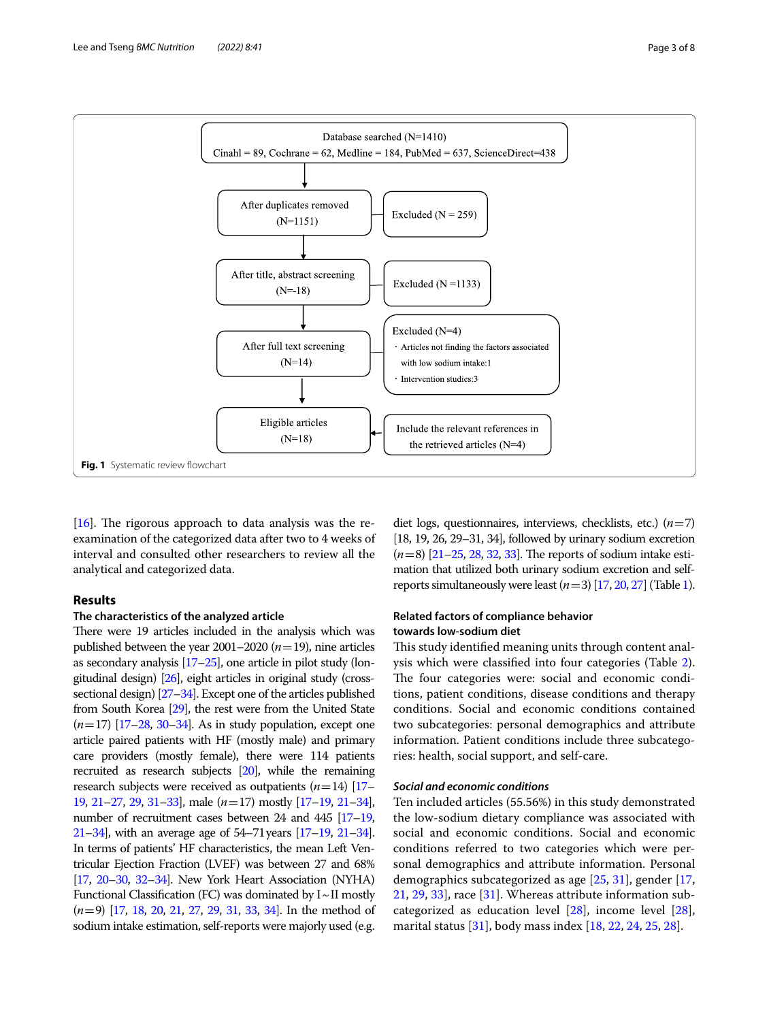

<span id="page-2-0"></span>[[16](#page-7-0)]. The rigorous approach to data analysis was the reexamination of the categorized data after two to 4 weeks of interval and consulted other researchers to review all the analytical and categorized data.

#### **Results**

#### **The characteristics of the analyzed article**

There were 19 articles included in the analysis which was published between the year  $2001-2020$  ( $n=19$ ), nine articles as secondary analysis [\[17](#page-7-1)–[25\]](#page-7-2), one article in pilot study (longitudinal design) [\[26\]](#page-7-3), eight articles in original study (crosssectional design) [\[27](#page-7-4)[–34](#page-7-5)]. Except one of the articles published from South Korea [\[29\]](#page-7-6), the rest were from the United State (*n*=17) [\[17](#page-7-1)[–28](#page-7-7), [30](#page-7-8)[–34\]](#page-7-5). As in study population, except one article paired patients with HF (mostly male) and primary care providers (mostly female), there were 114 patients recruited as research subjects [[20\]](#page-7-9), while the remaining research subjects were received as outpatients (*n*=14) [\[17–](#page-7-1) [19,](#page-7-10) [21](#page-7-11)[–27](#page-7-4), [29](#page-7-6), [31](#page-7-12)[–33\]](#page-7-13), male (*n*=17) mostly [\[17](#page-7-1)[–19](#page-7-10), [21](#page-7-11)[–34](#page-7-5)], number of recruitment cases between 24 and 445 [\[17](#page-7-1)[–19](#page-7-10), [21–](#page-7-11)[34\]](#page-7-5), with an average age of 54–71years [\[17](#page-7-1)[–19](#page-7-10), [21](#page-7-11)[–34](#page-7-5)]. In terms of patients' HF characteristics, the mean Left Ventricular Ejection Fraction (LVEF) was between 27 and 68% [[17,](#page-7-1) [20](#page-7-9)[–30,](#page-7-8) [32](#page-7-14)[–34](#page-7-5)]. New York Heart Association (NYHA) Functional Classification (FC) was dominated by  $I \sim II$  mostly (*n*=9) [[17,](#page-7-1) [18,](#page-7-15) [20](#page-7-9), [21,](#page-7-11) [27](#page-7-4), [29,](#page-7-6) [31,](#page-7-12) [33](#page-7-13), [34\]](#page-7-5). In the method of sodium intake estimation, self-reports were majorly used (e.g.

diet logs, questionnaires, interviews, checklists, etc.) (*n*=7) [18, 19, 26, 29–31, 34], followed by urinary sodium excretion  $(n=8)$  [\[21](#page-7-11)–[25,](#page-7-2) [28,](#page-7-7) [32](#page-7-14), [33\]](#page-7-13). The reports of sodium intake estimation that utilized both urinary sodium excretion and selfreports simultaneously were least  $(n=3)$  [\[17](#page-7-1), [20](#page-7-9), [27](#page-7-4)] (Table [1](#page-3-0)).

#### **Related factors of compliance behavior towards low‑sodium diet**

This study identified meaning units through content analysis which were classifed into four categories (Table [2](#page-4-0)). The four categories were: social and economic conditions, patient conditions, disease conditions and therapy conditions. Social and economic conditions contained two subcategories: personal demographics and attribute information. Patient conditions include three subcategories: health, social support, and self-care.

#### *Social and economic conditions*

Ten included articles (55.56%) in this study demonstrated the low-sodium dietary compliance was associated with social and economic conditions. Social and economic conditions referred to two categories which were personal demographics and attribute information. Personal demographics subcategorized as age [[25,](#page-7-2) [31](#page-7-12)], gender [[17](#page-7-1), [21,](#page-7-11) [29](#page-7-6), [33\]](#page-7-13), race [\[31](#page-7-12)]. Whereas attribute information subcategorized as education level [[28\]](#page-7-7), income level [\[28](#page-7-7)], marital status [[31\]](#page-7-12), body mass index [[18,](#page-7-15) [22](#page-7-16), [24](#page-7-17), [25,](#page-7-2) [28](#page-7-7)].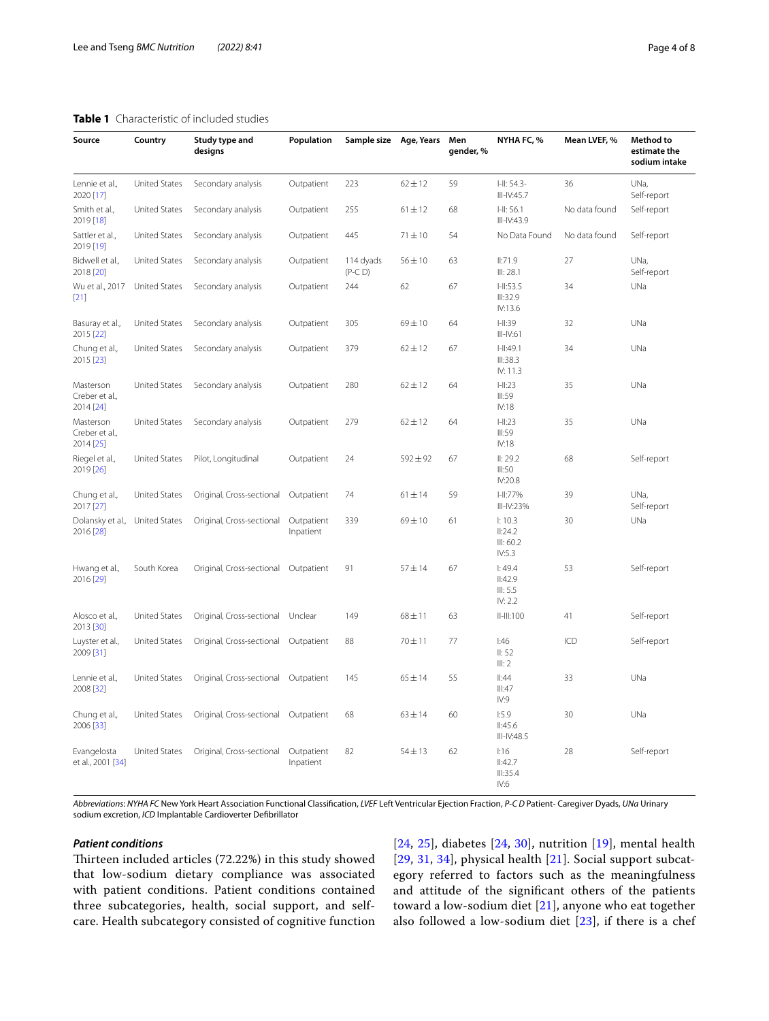#### <span id="page-3-0"></span>**Table 1** Characteristic of included studies

| Source                                   | Country              | Study type and<br>designs | Population              | Sample size            | Age, Years   | Men<br>gender, % | NYHA FC, %                               | Mean LVEF, %  | Method to<br>estimate the<br>sodium intake |
|------------------------------------------|----------------------|---------------------------|-------------------------|------------------------|--------------|------------------|------------------------------------------|---------------|--------------------------------------------|
| Lennie et al.,<br>2020 [17]              | <b>United States</b> | Secondary analysis        | Outpatient              | 223                    | $62 \pm 12$  | 59               | $-H: 54.3-$<br>$III-N:45.7$              | 36            | UNa,<br>Self-report                        |
| Smith et al.,<br>2019 [18]               | <b>United States</b> | Secondary analysis        | Outpatient              | 255                    | $61 \pm 12$  | 68               | $  -    $ : 56.1<br>$III - IV:43.9$      | No data found | Self-report                                |
| Sattler et al.,<br>2019 [19]             | <b>United States</b> | Secondary analysis        | Outpatient              | 445                    | $71 \pm 10$  | 54               | No Data Found                            | No data found | Self-report                                |
| Bidwell et al.,<br>2018 [20]             | <b>United States</b> | Secondary analysis        | Outpatient              | 114 dyads<br>$(P-C D)$ | $56 \pm 10$  | 63               | II:71.9<br>III: 28.1                     | 27            | UNa,<br>Self-report                        |
| Wu et al., 2017<br>$[21]$                | <b>United States</b> | Secondary analysis        | Outpatient              | 244                    | 62           | 67               | $1 - 11:53.5$<br>III:32.9<br>IV:13.6     | 34            | UNa                                        |
| Basuray et al.,<br>2015 [22]             | <b>United States</b> | Secondary analysis        | Outpatient              | 305                    | $69 + 10$    | 64               | $ $ -II:39<br>$III$ -IV:61               | 32            | UNa                                        |
| Chung et al.,<br>2015 [23]               | <b>United States</b> | Secondary analysis        | Outpatient              | 379                    | $62 \pm 12$  | 67               | $  -    $ :49.1<br>III:38.3<br>IV: 11.3  | 34            | UNa                                        |
| Masterson<br>Creber et al.,<br>2014 [24] | <b>United States</b> | Secondary analysis        | Outpatient              | 280                    | $62 \pm 12$  | 64               | $ $ -II:23<br>III:59<br>IV:18            | 35            | UNa                                        |
| Masterson<br>Creber et al.,<br>2014 [25] | <b>United States</b> | Secondary analysis        | Outpatient              | 279                    | $62 \pm 12$  | 64               | $ $ -II:23<br>III:59<br>IV:18            | 35            | UNa                                        |
| Riegel et al.,<br>2019 [26]              | <b>United States</b> | Pilot, Longitudinal       | Outpatient              | 24                     | $592 \pm 92$ | 67               | II: 29.2<br>III:50<br>IV:20.8            | 68            | Self-report                                |
| Chung et al.,<br>2017 [27]               | <b>United States</b> | Original, Cross-sectional | Outpatient              | 74                     | $61 \pm 14$  | 59               | H:77%<br>$III-IV:23%$                    | 39            | UNa,<br>Self-report                        |
| Dolansky et al.,<br>2016 [28]            | <b>United States</b> | Original, Cross-sectional | Outpatient<br>Inpatient | 339                    | $69 + 10$    | 61               | 1:10.3<br>II:24.2<br>III: 60.2<br>IV:5.3 | 30            | UNa                                        |
| Hwang et al.,<br>2016 [29]               | South Korea          | Original, Cross-sectional | Outpatient              | 91                     | $57 + 14$    | 67               | 1:49.4<br>II:42.9<br>III: 5.5<br>IV: 2.2 | 53            | Self-report                                |
| Alosco et al.,<br>2013 [30]              | <b>United States</b> | Original, Cross-sectional | Unclear                 | 149                    | $68 \pm 11$  | 63               | $II-HI:100$                              | 41            | Self-report                                |
| Luyster et al.,<br>2009 [31]             | <b>United States</b> | Original, Cross-sectional | Outpatient              | 88                     | $70 + 11$    | 77               | 1:46<br>II: 52<br>III: 2                 | ICD           | Self-report                                |
| Lennie et al.,<br>2008 [32]              | <b>United States</b> | Original, Cross-sectional | Outpatient              | 145                    | $65 \pm 14$  | 55               | $\parallel$ :44<br>III:47<br>IV:9        | 33            | UNa                                        |
| Chung et al.,<br>2006 [33]               | <b>United States</b> | Original, Cross-sectional | Outpatient              | 68                     | $63 \pm 14$  | 60               | 1:5.9<br>II:45.6<br>III-IV:48.5          | 30            | UNa                                        |
| Evangelosta<br>et al., 2001 [34]         | United States        | Original, Cross-sectional | Outpatient<br>Inpatient | 82                     | $54 \pm 13$  | 62               | 1:16<br>II:42.7<br>III:35.4<br>IV:6      | 28            | Self-report                                |

*Abbreviations*: *NYHA FC* New York Heart Association Functional Classifcation, *LVEF* Left Ventricular Ejection Fraction, *P-C D* Patient- Caregiver Dyads, *UNa* Urinary sodium excretion, *ICD* Implantable Cardioverter Defbrillator

#### *Patient conditions*

Thirteen included articles (72.22%) in this study showed that low-sodium dietary compliance was associated with patient conditions. Patient conditions contained three subcategories, health, social support, and selfcare. Health subcategory consisted of cognitive function

[[24](#page-7-17), [25\]](#page-7-2), diabetes [\[24](#page-7-17), [30\]](#page-7-8), nutrition [[19\]](#page-7-10), mental health [[29](#page-7-6), [31](#page-7-12), [34\]](#page-7-5), physical health [[21](#page-7-11)]. Social support subcategory referred to factors such as the meaningfulness and attitude of the signifcant others of the patients toward a low-sodium diet [[21\]](#page-7-11), anyone who eat together also followed a low-sodium diet [[23\]](#page-7-18), if there is a chef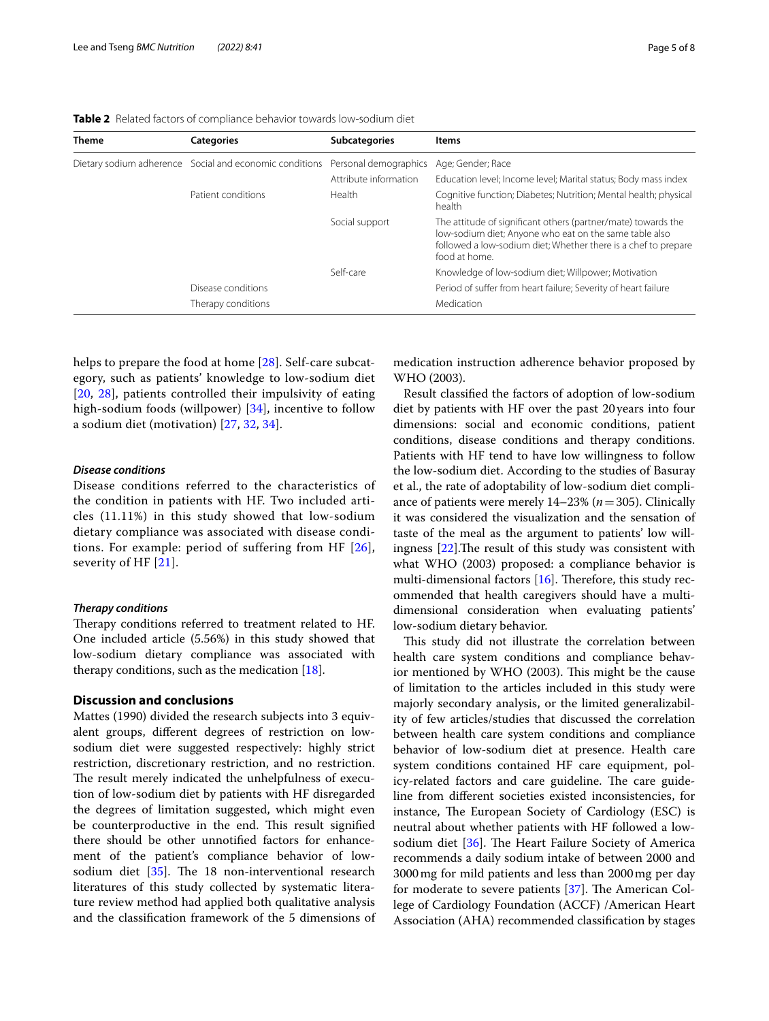| <b>Theme</b> | <b>Categories</b>                                       | <b>Subcategories</b>  | Items                                                                                                                                                                                                      |
|--------------|---------------------------------------------------------|-----------------------|------------------------------------------------------------------------------------------------------------------------------------------------------------------------------------------------------------|
|              | Dietary sodium adherence Social and economic conditions | Personal demographics | Age; Gender; Race                                                                                                                                                                                          |
|              |                                                         | Attribute information | Education level; Income level; Marital status; Body mass index                                                                                                                                             |
|              | Patient conditions                                      | Health                | Cognitive function; Diabetes; Nutrition; Mental health; physical<br>health                                                                                                                                 |
|              |                                                         | Social support        | The attitude of significant others (partner/mate) towards the<br>low-sodium diet; Anyone who eat on the same table also<br>followed a low-sodium diet; Whether there is a chef to prepare<br>food at home. |
|              |                                                         | Self-care             | Knowledge of low-sodium diet; Willpower; Motivation                                                                                                                                                        |
|              | Disease conditions                                      |                       | Period of suffer from heart failure; Severity of heart failure                                                                                                                                             |
|              | Therapy conditions                                      |                       | Medication                                                                                                                                                                                                 |

<span id="page-4-0"></span>**Table 2** Related factors of compliance behavior towards low-sodium diet

helps to prepare the food at home [[28](#page-7-7)]. Self-care subcategory, such as patients' knowledge to low-sodium diet [[20](#page-7-9), [28](#page-7-7)], patients controlled their impulsivity of eating high-sodium foods (willpower) [[34\]](#page-7-5), incentive to follow a sodium diet (motivation) [[27,](#page-7-4) [32,](#page-7-14) [34](#page-7-5)].

#### *Disease conditions*

Disease conditions referred to the characteristics of the condition in patients with HF. Two included articles (11.11%) in this study showed that low-sodium dietary compliance was associated with disease conditions. For example: period of suffering from HF [[26\]](#page-7-3), severity of HF [[21\]](#page-7-11).

#### *Therapy conditions*

Therapy conditions referred to treatment related to HF. One included article (5.56%) in this study showed that low-sodium dietary compliance was associated with therapy conditions, such as the medication  $[18]$  $[18]$ .

#### **Discussion and conclusions**

Mattes (1990) divided the research subjects into 3 equivalent groups, diferent degrees of restriction on lowsodium diet were suggested respectively: highly strict restriction, discretionary restriction, and no restriction. The result merely indicated the unhelpfulness of execution of low-sodium diet by patients with HF disregarded the degrees of limitation suggested, which might even be counterproductive in the end. This result signified there should be other unnotifed factors for enhancement of the patient's compliance behavior of lowsodium diet  $[35]$  $[35]$ . The 18 non-interventional research literatures of this study collected by systematic literature review method had applied both qualitative analysis and the classifcation framework of the 5 dimensions of medication instruction adherence behavior proposed by WHO (2003).

Result classifed the factors of adoption of low-sodium diet by patients with HF over the past 20years into four dimensions: social and economic conditions, patient conditions, disease conditions and therapy conditions. Patients with HF tend to have low willingness to follow the low-sodium diet. According to the studies of Basuray et al., the rate of adoptability of low-sodium diet compliance of patients were merely 14–23% (*n*=305). Clinically it was considered the visualization and the sensation of taste of the meal as the argument to patients' low willingness  $[22]$  $[22]$ . The result of this study was consistent with what WHO (2003) proposed: a compliance behavior is multi-dimensional factors  $[16]$  $[16]$ . Therefore, this study recommended that health caregivers should have a multidimensional consideration when evaluating patients' low-sodium dietary behavior.

This study did not illustrate the correlation between health care system conditions and compliance behavior mentioned by WHO (2003). This might be the cause of limitation to the articles included in this study were majorly secondary analysis, or the limited generalizability of few articles/studies that discussed the correlation between health care system conditions and compliance behavior of low-sodium diet at presence. Health care system conditions contained HF care equipment, policy-related factors and care guideline. The care guideline from diferent societies existed inconsistencies, for instance, The European Society of Cardiology (ESC) is neutral about whether patients with HF followed a lowsodium diet  $[36]$  $[36]$ . The Heart Failure Society of America recommends a daily sodium intake of between 2000 and 3000mg for mild patients and less than 2000mg per day for moderate to severe patients  $[37]$  $[37]$ . The American College of Cardiology Foundation (ACCF) /American Heart Association (AHA) recommended classifcation by stages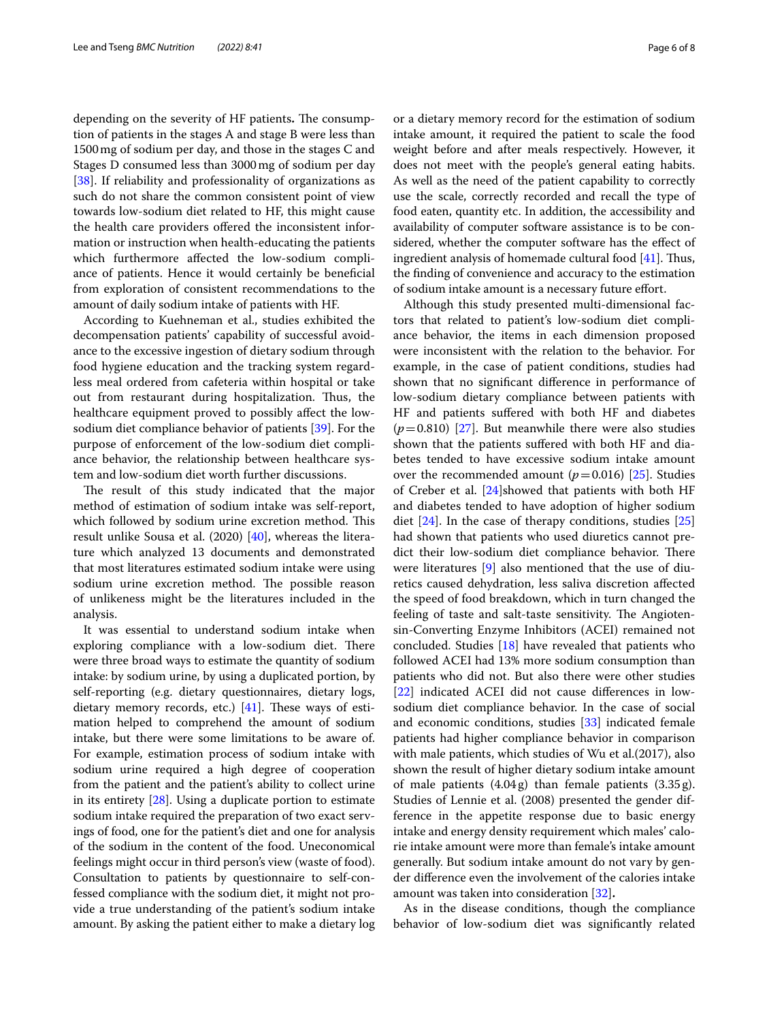depending on the severity of HF patients. The consumption of patients in the stages A and stage B were less than 1500mg of sodium per day, and those in the stages C and Stages D consumed less than 3000mg of sodium per day [[38\]](#page-7-22). If reliability and professionality of organizations as such do not share the common consistent point of view towards low-sodium diet related to HF, this might cause the health care providers ofered the inconsistent information or instruction when health-educating the patients which furthermore afected the low-sodium compliance of patients. Hence it would certainly be benefcial from exploration of consistent recommendations to the amount of daily sodium intake of patients with HF.

According to Kuehneman et al., studies exhibited the decompensation patients' capability of successful avoidance to the excessive ingestion of dietary sodium through food hygiene education and the tracking system regardless meal ordered from cafeteria within hospital or take out from restaurant during hospitalization. Thus, the healthcare equipment proved to possibly afect the lowsodium diet compliance behavior of patients [[39\]](#page-7-23). For the purpose of enforcement of the low-sodium diet compliance behavior, the relationship between healthcare system and low-sodium diet worth further discussions.

The result of this study indicated that the major method of estimation of sodium intake was self-report, which followed by sodium urine excretion method. This result unlike Sousa et al. (2020) [[40](#page-7-24)], whereas the literature which analyzed 13 documents and demonstrated that most literatures estimated sodium intake were using sodium urine excretion method. The possible reason of unlikeness might be the literatures included in the analysis.

It was essential to understand sodium intake when exploring compliance with a low-sodium diet. There were three broad ways to estimate the quantity of sodium intake: by sodium urine, by using a duplicated portion, by self-reporting (e.g. dietary questionnaires, dietary logs, dietary memory records, etc.)  $[41]$  $[41]$ . These ways of estimation helped to comprehend the amount of sodium intake, but there were some limitations to be aware of. For example, estimation process of sodium intake with sodium urine required a high degree of cooperation from the patient and the patient's ability to collect urine in its entirety [\[28](#page-7-7)]. Using a duplicate portion to estimate sodium intake required the preparation of two exact servings of food, one for the patient's diet and one for analysis of the sodium in the content of the food. Uneconomical feelings might occur in third person's view (waste of food). Consultation to patients by questionnaire to self-confessed compliance with the sodium diet, it might not provide a true understanding of the patient's sodium intake amount. By asking the patient either to make a dietary log or a dietary memory record for the estimation of sodium intake amount, it required the patient to scale the food weight before and after meals respectively. However, it does not meet with the people's general eating habits. As well as the need of the patient capability to correctly use the scale, correctly recorded and recall the type of food eaten, quantity etc. In addition, the accessibility and availability of computer software assistance is to be considered, whether the computer software has the efect of ingredient analysis of homemade cultural food [[41](#page-7-25)]. Thus, the fnding of convenience and accuracy to the estimation of sodium intake amount is a necessary future effort.

Although this study presented multi-dimensional factors that related to patient's low-sodium diet compliance behavior, the items in each dimension proposed were inconsistent with the relation to the behavior. For example, in the case of patient conditions, studies had shown that no signifcant diference in performance of low-sodium dietary compliance between patients with HF and patients sufered with both HF and diabetes  $(p=0.810)$  [\[27](#page-7-4)]. But meanwhile there were also studies shown that the patients sufered with both HF and diabetes tended to have excessive sodium intake amount over the recommended amount  $(p=0.016)$  [\[25](#page-7-2)]. Studies of Creber et al. [[24](#page-7-17)]showed that patients with both HF and diabetes tended to have adoption of higher sodium diet  $[24]$ . In the case of therapy conditions, studies  $[25]$  $[25]$  $[25]$ had shown that patients who used diuretics cannot predict their low-sodium diet compliance behavior. There were literatures [\[9](#page-6-8)] also mentioned that the use of diuretics caused dehydration, less saliva discretion afected the speed of food breakdown, which in turn changed the feeling of taste and salt-taste sensitivity. The Angiotensin-Converting Enzyme Inhibitors (ACEI) remained not concluded. Studies [\[18\]](#page-7-15) have revealed that patients who followed ACEI had 13% more sodium consumption than patients who did not. But also there were other studies [[22\]](#page-7-16) indicated ACEI did not cause diferences in lowsodium diet compliance behavior. In the case of social and economic conditions, studies [[33\]](#page-7-13) indicated female patients had higher compliance behavior in comparison with male patients, which studies of Wu et al.(2017), also shown the result of higher dietary sodium intake amount of male patients  $(4.04 g)$  than female patients  $(3.35 g)$ . Studies of Lennie et al. (2008) presented the gender difference in the appetite response due to basic energy intake and energy density requirement which males' calorie intake amount were more than female's intake amount generally. But sodium intake amount do not vary by gender diference even the involvement of the calories intake amount was taken into consideration [\[32](#page-7-14)]**.**

As in the disease conditions, though the compliance behavior of low-sodium diet was signifcantly related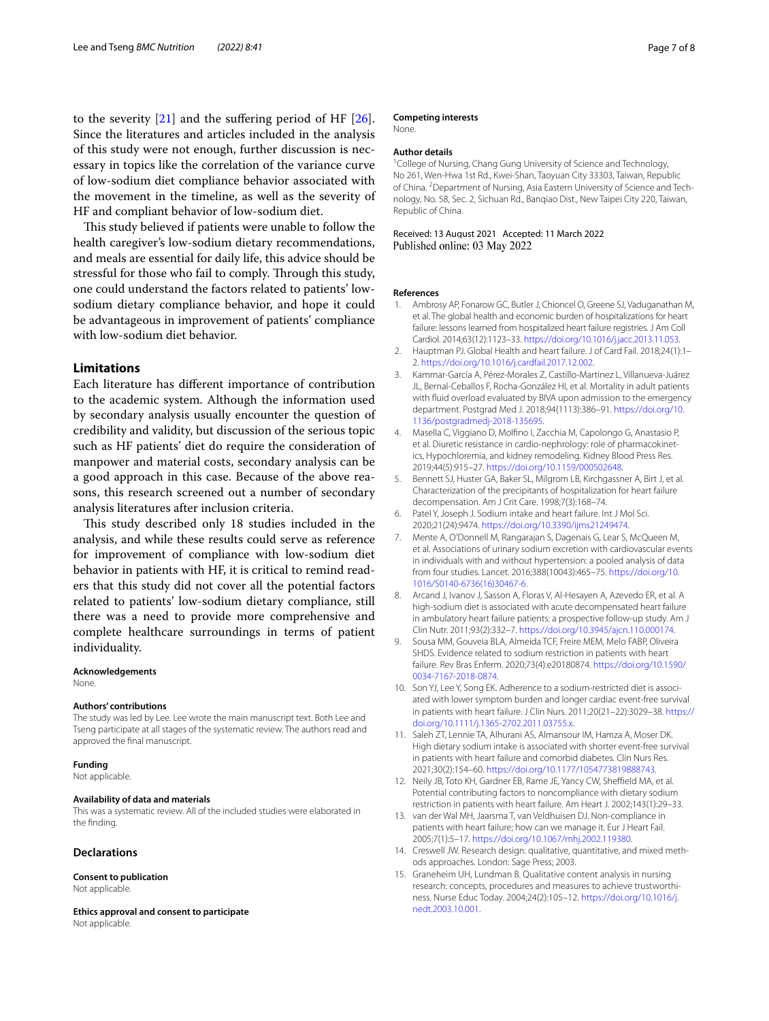to the severity  $[21]$  $[21]$  and the suffering period of HF  $[26]$  $[26]$ . Since the literatures and articles included in the analysis of this study were not enough, further discussion is necessary in topics like the correlation of the variance curve of low-sodium diet compliance behavior associated with the movement in the timeline, as well as the severity of HF and compliant behavior of low-sodium diet.

This study believed if patients were unable to follow the health caregiver's low-sodium dietary recommendations, and meals are essential for daily life, this advice should be stressful for those who fail to comply. Through this study, one could understand the factors related to patients' lowsodium dietary compliance behavior, and hope it could be advantageous in improvement of patients' compliance with low-sodium diet behavior.

#### **Limitations**

Each literature has diferent importance of contribution to the academic system. Although the information used by secondary analysis usually encounter the question of credibility and validity, but discussion of the serious topic such as HF patients' diet do require the consideration of manpower and material costs, secondary analysis can be a good approach in this case. Because of the above reasons, this research screened out a number of secondary analysis literatures after inclusion criteria.

This study described only 18 studies included in the analysis, and while these results could serve as reference for improvement of compliance with low-sodium diet behavior in patients with HF, it is critical to remind readers that this study did not cover all the potential factors related to patients' low-sodium dietary compliance, still there was a need to provide more comprehensive and complete healthcare surroundings in terms of patient individuality.

#### **Acknowledgements**

None.

#### **Authors' contributions**

The study was led by Lee. Lee wrote the main manuscript text. Both Lee and Tseng participate at all stages of the systematic review. The authors read and approved the fnal manuscript.

#### **Funding**

Not applicable.

#### **Availability of data and materials**

This was a systematic review. All of the included studies were elaborated in the fnding.

#### **Declarations**

**Consent to publication** Not applicable.

**Ethics approval and consent to participate** Not applicable.

#### **Competing interests**

None.

#### **Author details**

<sup>1</sup> College of Nursing, Chang Gung University of Science and Technology, No 261, Wen‑Hwa 1st Rd., Kwei‑Shan, Taoyuan City 33303, Taiwan, Republic of China. <sup>2</sup> Department of Nursing, Asia Eastern University of Science and Technology, No. 58, Sec. 2, Sichuan Rd., Banqiao Dist., New Taipei City 220, Taiwan, Republic of China.

# Received: 13 August 2021 Accepted: 11 March 2022<br>Published online: 03 May 2022

#### **References**

- <span id="page-6-0"></span>1. Ambrosy AP, Fonarow GC, Butler J, Chioncel O, Greene SJ, Vaduganathan M, et al. The global health and economic burden of hospitalizations for heart failure: lessons learned from hospitalized heart failure registries. J Am Coll Cardiol. 2014;63(12):1123–33. [https://doi.org/10.1016/j.jacc.2013.11.053.](https://doi.org/10.1016/j.jacc.2013.11.053)
- <span id="page-6-1"></span>2. Hauptman PJ. Global Health and heart failure. J of Card Fail. 2018;24(1):1– 2.<https://doi.org/10.1016/j.cardfail.2017.12.002>.
- <span id="page-6-2"></span>3. Kammar-García A, Pérez-Morales Z, Castillo-Martinez L, Villanueva-Juárez JL, Bernal-Ceballos F, Rocha-González HI, et al. Mortality in adult patients with fuid overload evaluated by BIVA upon admission to the emergency department. Postgrad Med J. 2018;94(1113):386–91. [https://doi.org/10.](https://doi.org/10.1136/postgradmedj-2018-135695) [1136/postgradmedj-2018-135695](https://doi.org/10.1136/postgradmedj-2018-135695).
- <span id="page-6-3"></span>4. Masella C, Viggiano D, Molfno I, Zacchia M, Capolongo G, Anastasio P, et al. Diuretic resistance in cardio-nephrology: role of pharmacokinetics, Hypochloremia, and kidney remodeling. Kidney Blood Press Res. 2019;44(5):915–27. [https://doi.org/10.1159/000502648.](https://doi.org/10.1159/000502648)
- <span id="page-6-4"></span>5. Bennett SJ, Huster GA, Baker SL, Milgrom LB, Kirchgassner A, Birt J, et al. Characterization of the precipitants of hospitalization for heart failure decompensation. Am J Crit Care. 1998;7(3):168–74.
- <span id="page-6-5"></span>6. Patel Y, Joseph J. Sodium intake and heart failure. Int J Mol Sci. 2020;21(24):9474.<https://doi.org/10.3390/ijms21249474>.
- <span id="page-6-6"></span>7. Mente A, O'Donnell M, Rangarajan S, Dagenais G, Lear S, McQueen M, et al. Associations of urinary sodium excretion with cardiovascular events in individuals with and without hypertension: a pooled analysis of data from four studies. Lancet. 2016;388(10043):465–75. [https://doi.org/10.](https://doi.org/10.1016/S0140-6736(16)30467-6) [1016/S0140-6736\(16\)30467-6](https://doi.org/10.1016/S0140-6736(16)30467-6).
- <span id="page-6-7"></span>8. Arcand J, Ivanov J, Sasson A, Floras V, Al-Hesayen A, Azevedo ER, et al. A high-sodium diet is associated with acute decompensated heart failure in ambulatory heart failure patients: a prospective follow-up study. Am J Clin Nutr. 2011;93(2):332–7.<https://doi.org/10.3945/ajcn.110.000174>.
- <span id="page-6-8"></span>9. Sousa MM, Gouveia BLA, Almeida TCF, Freire MEM, Melo FABP, Oliveira SHDS. Evidence related to sodium restriction in patients with heart failure. Rev Bras Enferm. 2020;73(4):e20180874. [https://doi.org/10.1590/](https://doi.org/10.1590/0034-7167-2018-0874) [0034-7167-2018-0874.](https://doi.org/10.1590/0034-7167-2018-0874)
- <span id="page-6-9"></span>10. Son YJ, Lee Y, Song EK. Adherence to a sodium-restricted diet is associated with lower symptom burden and longer cardiac event-free survival in patients with heart failure. J Clin Nurs. 2011;20(21–22):3029–38. [https://](https://doi.org/10.1111/j.1365-2702.2011.03755.x) [doi.org/10.1111/j.1365-2702.2011.03755.x.](https://doi.org/10.1111/j.1365-2702.2011.03755.x)
- <span id="page-6-10"></span>11. Saleh ZT, Lennie TA, Alhurani AS, Almansour IM, Hamza A, Moser DK. High dietary sodium intake is associated with shorter event-free survival in patients with heart failure and comorbid diabetes. Clin Nurs Res. 2021;30(2):154–60. <https://doi.org/10.1177/1054773819888743>.
- <span id="page-6-11"></span>12. Neily JB, Toto KH, Gardner EB, Rame JE, Yancy CW, Sheffield MA, et al. Potential contributing factors to noncompliance with dietary sodium restriction in patients with heart failure. Am Heart J. 2002;143(1):29–33.
- <span id="page-6-12"></span>13. van der Wal MH, Jaarsma T, van Veldhuisen DJ. Non-compliance in patients with heart failure; how can we manage it. Eur J Heart Fail. 2005;7(1):5–17. [https://doi.org/10.1067/mhj.2002.119380.](https://doi.org/10.1067/mhj.2002.119380)
- <span id="page-6-13"></span>14. Creswell JW. Research design: qualitative, quantitative, and mixed methods approaches. London: Sage Press; 2003.
- <span id="page-6-14"></span>15. Graneheim UH, Lundman B. Qualitative content analysis in nursing research: concepts, procedures and measures to achieve trustworthiness. Nurse Educ Today. 2004;24(2):105–12. [https://doi.org/10.1016/j.](https://doi.org/10.1016/j.nedt.2003.10.001) [nedt.2003.10.001](https://doi.org/10.1016/j.nedt.2003.10.001).